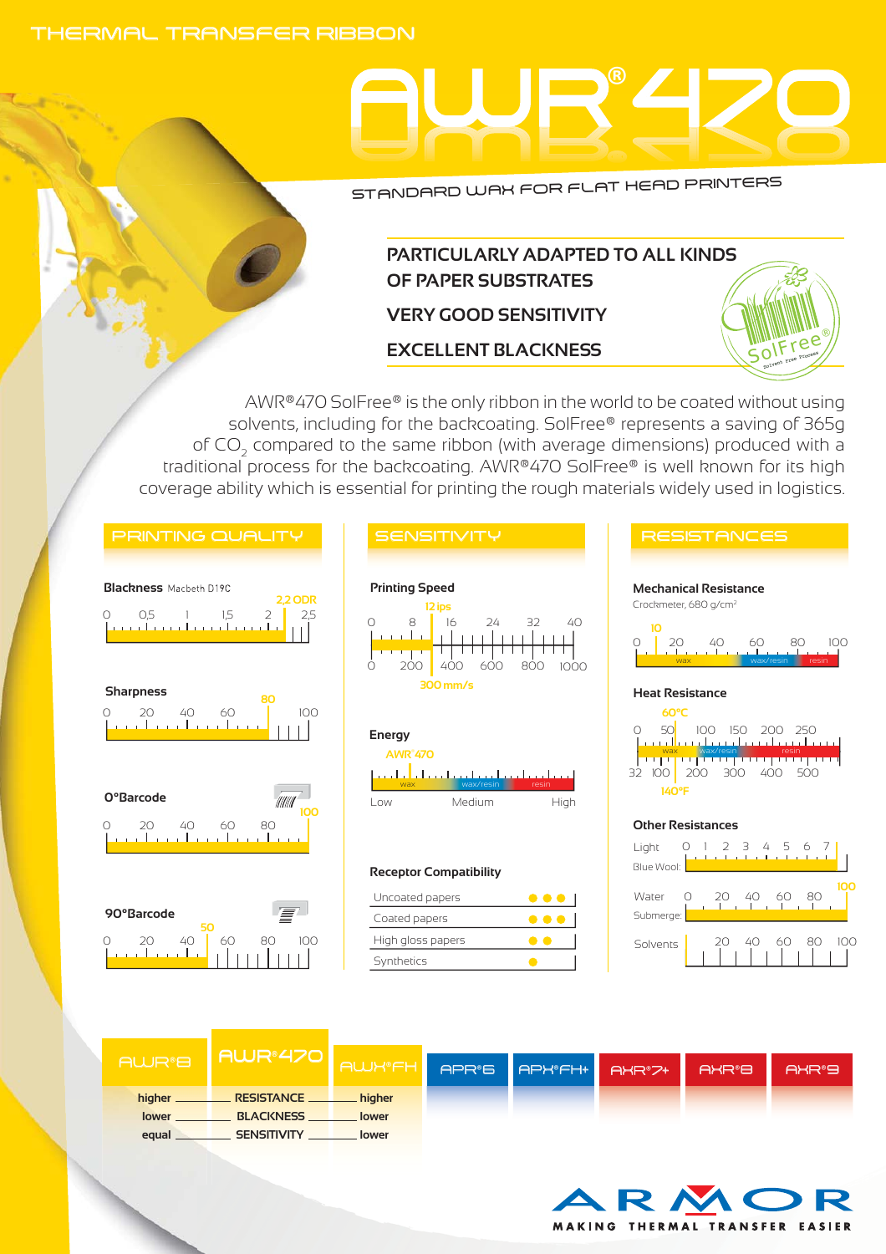### THERMAL TRANSFER RIBBON

# AWR® 470

STANDARD WAX FOR FLAT HEAD PRINTERS

## **PARTICULARLY ADAPTED TO ALL KINDS OF PAPER SUBSTRATES VERY GOOD SENSITIVITY**

**EXCELLENT BLACKNESS**

AWR®470 SolFree® is the only ribbon in the world to be coated without using solvents, including for the backcoating. SolFree® represents a saving of 365g of CO2 compared to the same ribbon (with average dimensions) produced with a traditional process for the backcoating. AWR®470 SolFree® is well known for its high coverage ability which is essential for printing the rough materials widely used in logistics.













#### **Receptor Compatibility**

| Uncoated papers   |  |
|-------------------|--|
| Coated papers     |  |
| High gloss papers |  |
| Synthetics        |  |

## 0 50<mark>1 100 150 200 250</mark> Crockmeter, 680 g/cm2 32 100 200 300 400 500 Blue Wool: Light 0 1 2 3 4 5 6<br>Litra Litra Litra 0 20 40 60 80 100 **10 60°C 140°F** wax wax/resin resinance in the second wax wax/resinance in the second wax was a second wax wax wax wax wax wax<br>The second wax wax/resinance in the second wax wax wax was a second wax was water wax was a second wax was wat wax wax wax/resin <mark>resin</mark> **Mechanical Resistance Heat Resistance Other Resistances**

SolFree®



|                    | I AWR®470 I        |               |                      |              |                    |
|--------------------|--------------------|---------------|----------------------|--------------|--------------------|
| AWR <sup>®</sup> B |                    | <b>AWK®FH</b> | APR'S APK'FH+ AXR'7+ | <b>AXR®B</b> | AXR <sup>®</sup> 9 |
|                    |                    |               |                      |              |                    |
| lower              | <b>BLACKNESS</b>   | lower         |                      |              |                    |
| equal _            | <b>SENSITIVITY</b> | lower         |                      |              |                    |